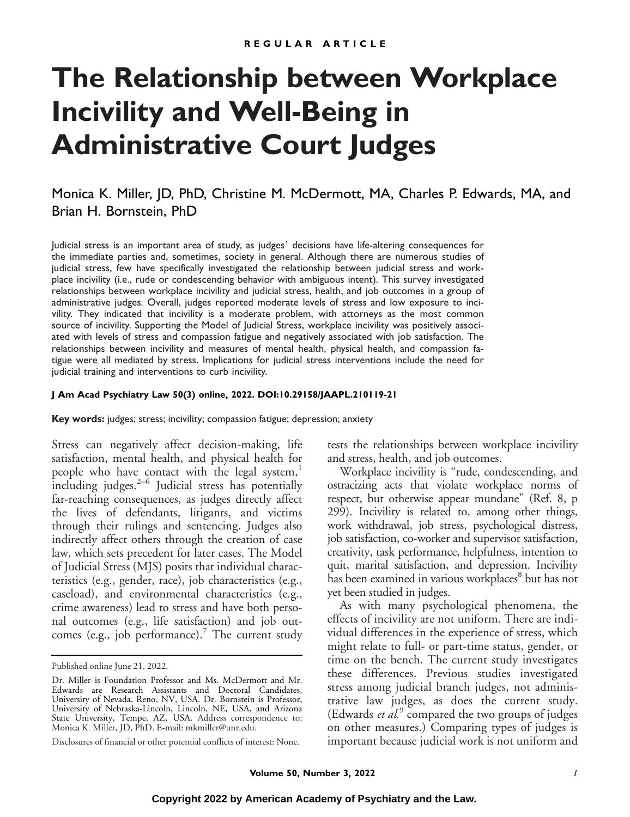# **The Relationship between Workplace Incivility and Well-Being in Administrative Court Judges**

Monica K. Miller, JD, PhD, Christine M. McDermott, MA, Charles P. Edwards, MA, and Brian H. Bornstein, PhD

Judicial stress is an important area of study, as judges' decisions have life-altering consequences for the immediate parties and, sometimes, society in general. Although there are numerous studies of judicial stress, few have specifically investigated the relationship between judicial stress and workplace incivility (i.e., rude or condescending behavior with ambiguous intent). This survey investigated relationships between workplace incivility and judicial stress, health, and job outcomes in a group of administrative judges. Overall, judges reported moderate levels of stress and low exposure to incivility. They indicated that incivility is a moderate problem, with attorneys as the most common source of incivility. Supporting the Model of Judicial Stress, workplace incivility was positively associated with levels of stress and compassion fatigue and negatively associated with job satisfaction. The relationships between incivility and measures of mental health, physical health, and compassion fatigue were all mediated by stress. Implications for judicial stress interventions include the need for judicial training and interventions to curb incivility.

## **J Am Acad Psychiatry Law 50(3) online, 2022. DOI:10.29158/JAAPL.210119-21**

**Key words:** judges; stress; incivility; compassion fatigue; depression; anxiety

Stress can negatively affect decision-making, life satisfaction, mental health, and physical health for people who have contact with the legal system, $<sup>1</sup>$ </sup> including judges. $2-6$  Judicial stress has potentially far-reaching consequences, as judges directly affect the lives of defendants, litigants, and victims through their rulings and sentencing. Judges also indirectly affect others through the creation of case law, which sets precedent for later cases. The Model of Judicial Stress (MJS) posits that individual characteristics (e.g., gender, race), job characteristics (e.g., caseload), and environmental characteristics (e.g., crime awareness) lead to stress and have both personal outcomes (e.g., life satisfaction) and job outcomes (e.g., job performance).<sup>7</sup> The current study tests the relationships between workplace incivility and stress, health, and job outcomes.

Workplace incivility is "rude, condescending, and ostracizing acts that violate workplace norms of respect, but otherwise appear mundane" (Ref. 8, p 299). Incivility is related to, among other things, work withdrawal, job stress, psychological distress, job satisfaction, co-worker and supervisor satisfaction, creativity, task performance, helpfulness, intention to quit, marital satisfaction, and depression. Incivility has been examined in various workplaces<sup>8</sup> but has not yet been studied in judges.

As with many psychological phenomena, the effects of incivility are not uniform. There are individual differences in the experience of stress, which might relate to full- or part-time status, gender, or time on the bench. The current study investigates these differences. Previous studies investigated stress among judicial branch judges, not administrative law judges, as does the current study. (Edwards *et al.*<sup>9</sup> compared the two groups of judges on other measures.) Comparing types of judges is important because judicial work is not uniform and

Published online June 21, 2022.

Dr. Miller is Foundation Professor and Ms. McDermott and Mr. Edwards are Research Assistants and Doctoral Candidates, University of Nevada, Reno, NV, USA. Dr. Bornstein is Professor, University of Nebraska-Lincoln, Lincoln, NE, USA, and Arizona State University, Tempe, AZ, USA. Address correspondence to: Monica K. Miller, JD, PhD. E-mail: [mkmiller@unr.edu.](mailto:mkmiller@unr.edu)

Disclosures of financial or other potential conflicts of interest: None.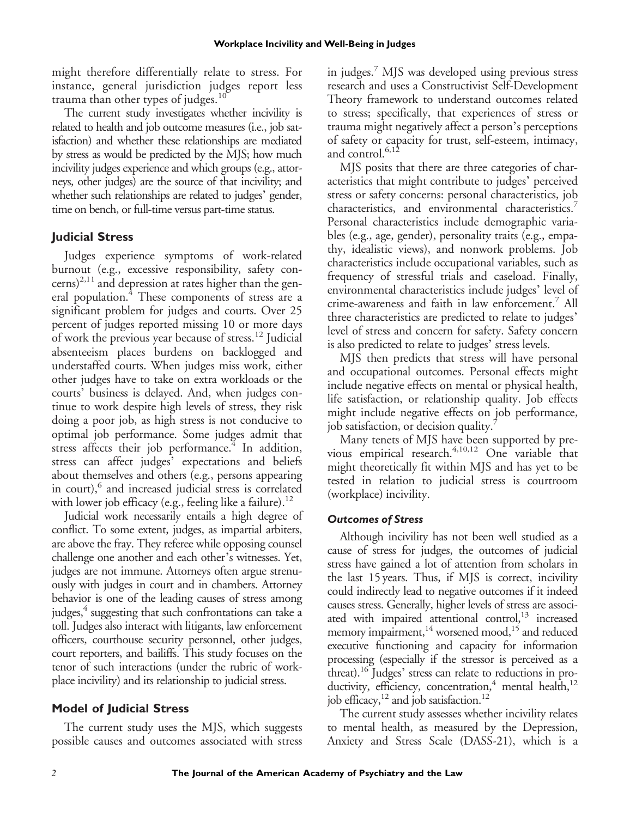might therefore differentially relate to stress. For instance, general jurisdiction judges report less trauma than other types of judges. $10$ 

The current study investigates whether incivility is related to health and job outcome measures (i.e., job satisfaction) and whether these relationships are mediated by stress as would be predicted by the MJS; how much incivility judges experience and which groups (e.g., attorneys, other judges) are the source of that incivility; and whether such relationships are related to judges' gender, time on bench, or full-time versus part-time status.

# **Judicial Stress**

Judges experience symptoms of work-related burnout (e.g., excessive responsibility, safety concerns)<sup>2,11</sup> and depression at rates higher than the general population.<sup>4</sup> These components of stress are a significant problem for judges and courts. Over 25 percent of judges reported missing 10 or more days of work the previous year because of stress.12 Judicial absenteeism places burdens on backlogged and understaffed courts. When judges miss work, either other judges have to take on extra workloads or the courts' business is delayed. And, when judges continue to work despite high levels of stress, they risk doing a poor job, as high stress is not conducive to optimal job performance. Some judges admit that stress affects their job performance. $4$  In addition, stress can affect judges' expectations and beliefs about themselves and others (e.g., persons appearing in court),<sup>6</sup> and increased judicial stress is correlated with lower job efficacy (e.g., feeling like a failure).<sup>12</sup>

Judicial work necessarily entails a high degree of conflict. To some extent, judges, as impartial arbiters, are above the fray. They referee while opposing counsel challenge one another and each other's witnesses. Yet, judges are not immune. Attorneys often argue strenuously with judges in court and in chambers. Attorney behavior is one of the leading causes of stress among judges, $4$  suggesting that such confrontations can take a toll. Judges also interact with litigants, law enforcement officers, courthouse security personnel, other judges, court reporters, and bailiffs. This study focuses on the tenor of such interactions (under the rubric of workplace incivility) and its relationship to judicial stress.

# **Model of Judicial Stress**

The current study uses the MJS, which suggests possible causes and outcomes associated with stress in judges.7 MJS was developed using previous stress research and uses a Constructivist Self-Development Theory framework to understand outcomes related to stress; specifically, that experiences of stress or trauma might negatively affect a person's perceptions of safety or capacity for trust, self-esteem, intimacy, and control.<sup>6,12</sup>

MJS posits that there are three categories of characteristics that might contribute to judges' perceived stress or safety concerns: personal characteristics, job characteristics, and environmental characteristics.<sup>7</sup> Personal characteristics include demographic variables (e.g., age, gender), personality traits (e.g., empathy, idealistic views), and nonwork problems. Job characteristics include occupational variables, such as frequency of stressful trials and caseload. Finally, environmental characteristics include judges' level of crime-awareness and faith in law enforcement.7 All three characteristics are predicted to relate to judges' level of stress and concern for safety. Safety concern is also predicted to relate to judges' stress levels.

MJS then predicts that stress will have personal and occupational outcomes. Personal effects might include negative effects on mental or physical health, life satisfaction, or relationship quality. Job effects might include negative effects on job performance, job satisfaction, or decision quality.<sup>7</sup>

Many tenets of MJS have been supported by previous empirical research. $4,10,12$  One variable that might theoretically fit within MJS and has yet to be tested in relation to judicial stress is courtroom (workplace) incivility.

# *Outcomes of Stress*

Although incivility has not been well studied as a cause of stress for judges, the outcomes of judicial stress have gained a lot of attention from scholars in the last 15 years. Thus, if MJS is correct, incivility could indirectly lead to negative outcomes if it indeed causes stress. Generally, higher levels of stress are associated with impaired attentional control,<sup>13</sup> increased memory impairment,<sup>14</sup> worsened mood,<sup>15</sup> and reduced executive functioning and capacity for information processing (especially if the stressor is perceived as a threat).<sup>16</sup> Judges' stress can relate to reductions in productivity, efficiency, concentration,<sup>4</sup> mental health,<sup>12</sup> job efficacy, $^{12}$  and job satisfaction.<sup>12</sup>

The current study assesses whether incivility relates to mental health, as measured by the Depression, Anxiety and Stress Scale (DASS-21), which is a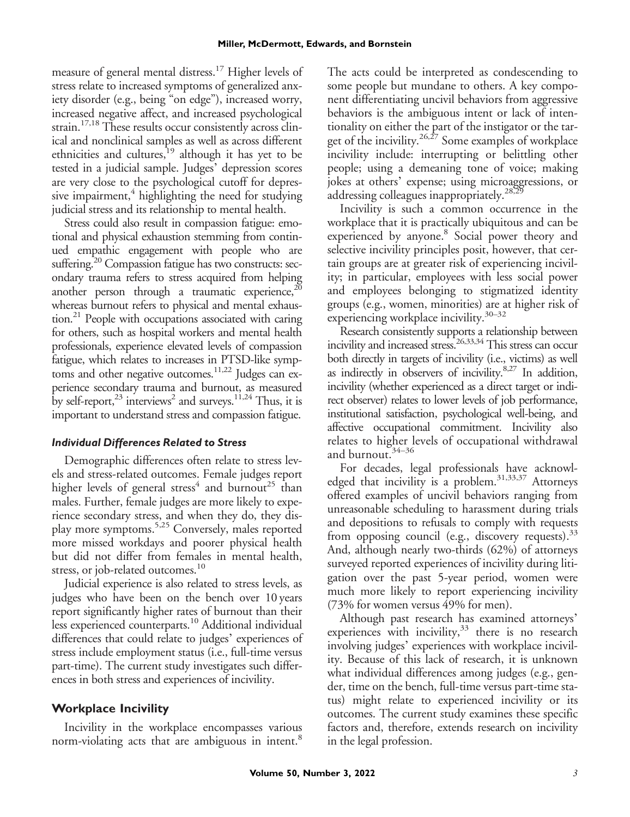measure of general mental distress.<sup>17</sup> Higher levels of stress relate to increased symptoms of generalized anxiety disorder (e.g., being "on edge"), increased worry, increased negative affect, and increased psychological strain.<sup>17,18</sup> These results occur consistently across clinical and nonclinical samples as well as across different ethnicities and cultures,<sup>19</sup> although it has yet to be tested in a judicial sample. Judges' depression scores are very close to the psychological cutoff for depressive impairment, $4$  highlighting the need for studying judicial stress and its relationship to mental health.

Stress could also result in compassion fatigue: emotional and physical exhaustion stemming from continued empathic engagement with people who are suffering.<sup>20</sup> Compassion fatigue has two constructs: secondary trauma refers to stress acquired from helping another person through a traumatic experience, $^{20}$ whereas burnout refers to physical and mental exhaustion.<sup>21</sup> People with occupations associated with caring for others, such as hospital workers and mental health professionals, experience elevated levels of compassion fatigue, which relates to increases in PTSD-like symptoms and other negative outcomes.<sup>11,22</sup> Judges can experience secondary trauma and burnout, as measured by self-report,<sup>23</sup> interviews<sup>2</sup> and surveys.<sup>11,24</sup> Thus, it is important to understand stress and compassion fatigue.

# *Individual Differences Related to Stress*

Demographic differences often relate to stress levels and stress-related outcomes. Female judges report higher levels of general stress<sup>4</sup> and burnout<sup>25</sup> than males. Further, female judges are more likely to experience secondary stress, and when they do, they display more symptoms.5,25 Conversely, males reported more missed workdays and poorer physical health but did not differ from females in mental health, stress, or job-related outcomes.<sup>10</sup>

Judicial experience is also related to stress levels, as judges who have been on the bench over 10 years report significantly higher rates of burnout than their less experienced counterparts.<sup>10</sup> Additional individual differences that could relate to judges' experiences of stress include employment status (i.e., full-time versus part-time). The current study investigates such differences in both stress and experiences of incivility.

# **Workplace Incivility**

Incivility in the workplace encompasses various norm-violating acts that are ambiguous in intent.<sup>8</sup>

The acts could be interpreted as condescending to some people but mundane to others. A key component differentiating uncivil behaviors from aggressive behaviors is the ambiguous intent or lack of intentionality on either the part of the instigator or the target of the incivility.<sup>26,27</sup> Some examples of workplace incivility include: interrupting or belittling other people; using a demeaning tone of voice; making jokes at others' expense; using microaggressions, or addressing colleagues inappropriately.<sup>28,29</sup>

Incivility is such a common occurrence in the workplace that it is practically ubiquitous and can be experienced by anyone.<sup>8</sup> Social power theory and selective incivility principles posit, however, that certain groups are at greater risk of experiencing incivility; in particular, employees with less social power and employees belonging to stigmatized identity groups (e.g., women, minorities) are at higher risk of experiencing workplace incivility.30–<sup>32</sup>

Research consistently supports a relationship between incivility and increased stress.<sup>26,33,34</sup> This stress can occur both directly in targets of incivility (i.e., victims) as well as indirectly in observers of incivility.8,27 In addition, incivility (whether experienced as a direct target or indirect observer) relates to lower levels of job performance, institutional satisfaction, psychological well-being, and affective occupational commitment. Incivility also relates to higher levels of occupational withdrawal and burnout.<sup>34-36</sup>

For decades, legal professionals have acknowledged that incivility is a problem.<sup>31,33,37</sup> Attorneys offered examples of uncivil behaviors ranging from unreasonable scheduling to harassment during trials and depositions to refusals to comply with requests from opposing council (e.g., discovery requests).  $33$ And, although nearly two-thirds (62%) of attorneys surveyed reported experiences of incivility during litigation over the past 5-year period, women were much more likely to report experiencing incivility (73% for women versus 49% for men).

Although past research has examined attorneys' experiences with incivility, $33$  there is no research involving judges' experiences with workplace incivility. Because of this lack of research, it is unknown what individual differences among judges (e.g., gender, time on the bench, full-time versus part-time status) might relate to experienced incivility or its outcomes. The current study examines these specific factors and, therefore, extends research on incivility in the legal profession.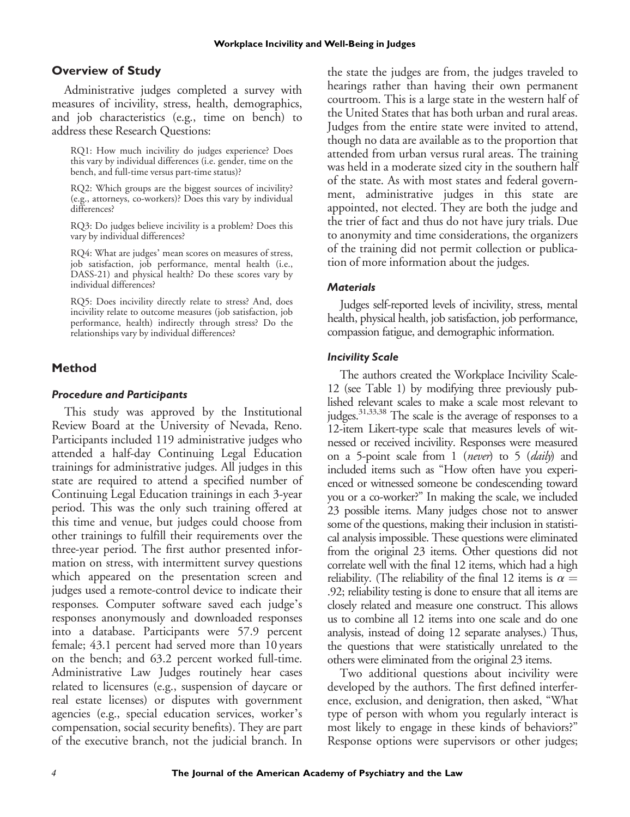# **Overview of Study**

Administrative judges completed a survey with measures of incivility, stress, health, demographics, and job characteristics (e.g., time on bench) to address these Research Questions:

RQ1: How much incivility do judges experience? Does this vary by individual differences (i.e. gender, time on the bench, and full-time versus part-time status)?

RQ2: Which groups are the biggest sources of incivility? (e.g., attorneys, co-workers)? Does this vary by individual differences?

RQ3: Do judges believe incivility is a problem? Does this vary by individual differences?

RQ4: What are judges' mean scores on measures of stress, job satisfaction, job performance, mental health (i.e., DASS-21) and physical health? Do these scores vary by individual differences?

RQ5: Does incivility directly relate to stress? And, does incivility relate to outcome measures (job satisfaction, job performance, health) indirectly through stress? Do the relationships vary by individual differences?

# **Method**

## *Procedure and Participants*

This study was approved by the Institutional Review Board at the University of Nevada, Reno. Participants included 119 administrative judges who attended a half-day Continuing Legal Education trainings for administrative judges. All judges in this state are required to attend a specified number of Continuing Legal Education trainings in each 3-year period. This was the only such training offered at this time and venue, but judges could choose from other trainings to fulfill their requirements over the three-year period. The first author presented information on stress, with intermittent survey questions which appeared on the presentation screen and judges used a remote-control device to indicate their responses. Computer software saved each judge's responses anonymously and downloaded responses into a database. Participants were 57.9 percent female; 43.1 percent had served more than 10 years on the bench; and 63.2 percent worked full-time. Administrative Law Judges routinely hear cases related to licensures (e.g., suspension of daycare or real estate licenses) or disputes with government agencies (e.g., special education services, worker's compensation, social security benefits). They are part of the executive branch, not the judicial branch. In the state the judges are from, the judges traveled to hearings rather than having their own permanent courtroom. This is a large state in the western half of the United States that has both urban and rural areas. Judges from the entire state were invited to attend, though no data are available as to the proportion that attended from urban versus rural areas. The training was held in a moderate sized city in the southern half of the state. As with most states and federal government, administrative judges in this state are appointed, not elected. They are both the judge and the trier of fact and thus do not have jury trials. Due to anonymity and time considerations, the organizers of the training did not permit collection or publication of more information about the judges.

## *Materials*

Judges self-reported levels of incivility, stress, mental health, physical health, job satisfaction, job performance, compassion fatigue, and demographic information.

## *Incivility Scale*

The authors created the Workplace Incivility Scale-12 (see Table 1) by modifying three previously published relevant scales to make a scale most relevant to judges.<sup>31,33,38</sup> The scale is the average of responses to a 12-item Likert-type scale that measures levels of witnessed or received incivility. Responses were measured on a 5-point scale from 1 (never) to 5 (daily) and included items such as "How often have you experienced or witnessed someone be condescending toward you or a co-worker?" In making the scale, we included 23 possible items. Many judges chose not to answer some of the questions, making their inclusion in statistical analysis impossible. These questions were eliminated from the original 23 items. Other questions did not correlate well with the final 12 items, which had a high reliability. (The reliability of the final 12 items is  $\alpha =$ .92; reliability testing is done to ensure that all items are closely related and measure one construct. This allows us to combine all 12 items into one scale and do one analysis, instead of doing 12 separate analyses.) Thus, the questions that were statistically unrelated to the others were eliminated from the original 23 items.

Two additional questions about incivility were developed by the authors. The first defined interference, exclusion, and denigration, then asked, "What type of person with whom you regularly interact is most likely to engage in these kinds of behaviors?" Response options were supervisors or other judges;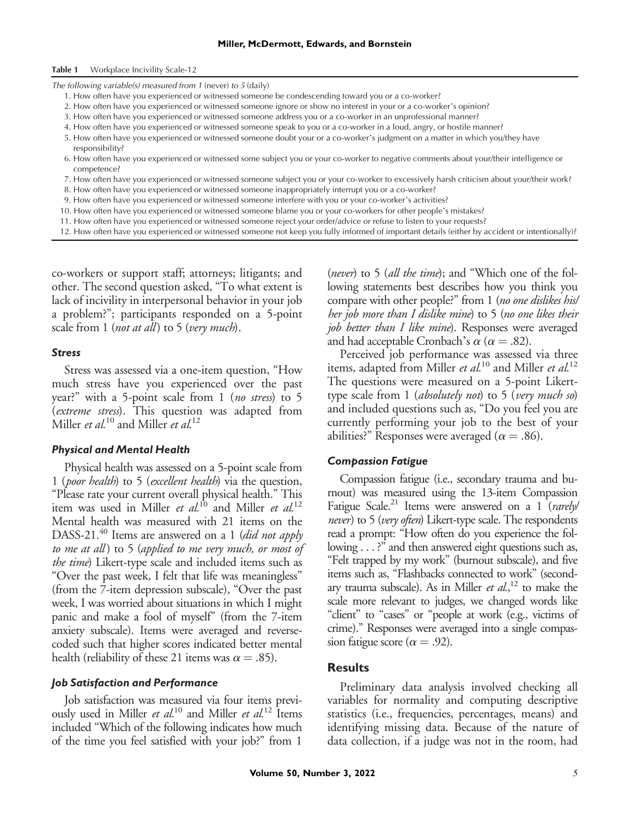#### Table 1 Workplace Incivility Scale-12

The following variable(s) measured from 1 (never) to 5 (daily)

- 1. How often have you experienced or witnessed someone be condescending toward you or a co-worker?
- 2. How often have you experienced or witnessed someone ignore or show no interest in your or a co-worker's opinion?
- 3. How often have you experienced or witnessed someone address you or a co-worker in an unprofessional manner?
- 4. How often have you experienced or witnessed someone speak to you or a co-worker in a loud, angry, or hostile manner?
- 5. How often have you experienced or witnessed someone doubt your or a co-worker's judgment on a matter in which you/they have responsibility?
- 6. How often have you experienced or witnessed some subject you or your co-worker to negative comments about your/their intelligence or competence?
- 7. How often have you experienced or witnessed someone subject you or your co-worker to excessively harsh criticism about your/their work?
- 8. How often have you experienced or witnessed someone inappropriately interrupt you or a co-worker?
- 9. How often have you experienced or witnessed someone interfere with you or your co-worker's activities?
- 10. How often have you experienced or witnessed someone blame you or your co-workers for other people's mistakes?
- 11. How often have you experienced or witnessed someone reject your order/advice or refuse to listen to your requests?
- 12. How often have you experienced or witnessed someone not keep you fully informed of important details (either by accident or intentionally)?

co-workers or support staff; attorneys; litigants; and other. The second question asked, "To what extent is lack of incivility in interpersonal behavior in your job a problem?"; participants responded on a 5-point scale from 1 (*not at all*) to 5 (*very much*).

## *Stress*

Stress was assessed via a one-item question, "How much stress have you experienced over the past year?" with a 5-point scale from 1 (no stress) to 5 (extreme stress). This question was adapted from Miller *et al.*<sup>10</sup> and Miller *et al.*<sup>12</sup>

## *Physical and Mental Health*

Physical health was assessed on a 5-point scale from 1 (poor health) to 5 (excellent health) via the question, "Please rate your current overall physical health." This item was used in Miller et al.<sup>10</sup> and Miller et al.<sup>12</sup> Mental health was measured with 21 items on the DASS-21.<sup>40</sup> Items are answered on a 1 (did not apply to me at all) to 5 (applied to me very much, or most of the time) Likert-type scale and included items such as "Over the past week, I felt that life was meaningless" (from the 7-item depression subscale), "Over the past week, I was worried about situations in which I might panic and make a fool of myself" (from the 7-item anxiety subscale). Items were averaged and reversecoded such that higher scores indicated better mental health (reliability of these 21 items was  $\alpha = .85$ ).

### *Job Satisfaction and Performance*

Job satisfaction was measured via four items previously used in Miller et  $al$ <sup>10</sup> and Miller et  $al$ <sup>12</sup> Items included "Which of the following indicates how much of the time you feel satisfied with your job?" from 1

(never) to 5 (all the time); and "Which one of the following statements best describes how you think you compare with other people?" from 1 (no one dislikes his/ her job more than I dislike mine) to 5 (no one likes their job better than I like mine). Responses were averaged and had acceptable Cronbach's  $\alpha$  ( $\alpha$  = .82).

Perceived job performance was assessed via three items, adapted from Miller et  $al$ <sup>10</sup> and Miller et  $al$ <sup>12</sup> The questions were measured on a 5-point Likerttype scale from  $1$  (absolutely not) to  $5$  (very much so) and included questions such as, "Do you feel you are currently performing your job to the best of your abilities?" Responses were averaged ( $\alpha = .86$ ).

## *Compassion Fatigue*

Compassion fatigue (i.e., secondary trauma and burnout) was measured using the 13-item Compassion Fatigue Scale.<sup>21</sup> Items were answered on a 1 (rarely/ never) to 5 (very often) Likert-type scale. The respondents read a prompt: "How often do you experience the following . . . ?" and then answered eight questions such as, "Felt trapped by my work" (burnout subscale), and five items such as, "Flashbacks connected to work" (secondary trauma subscale). As in Miller *et al*.,<sup>12</sup> to make the scale more relevant to judges, we changed words like "client" to "cases" or "people at work (e.g., victims of crime)." Responses were averaged into a single compassion fatigue score ( $\alpha = .92$ ).

## **Results**

Preliminary data analysis involved checking all variables for normality and computing descriptive statistics (i.e., frequencies, percentages, means) and identifying missing data. Because of the nature of data collection, if a judge was not in the room, had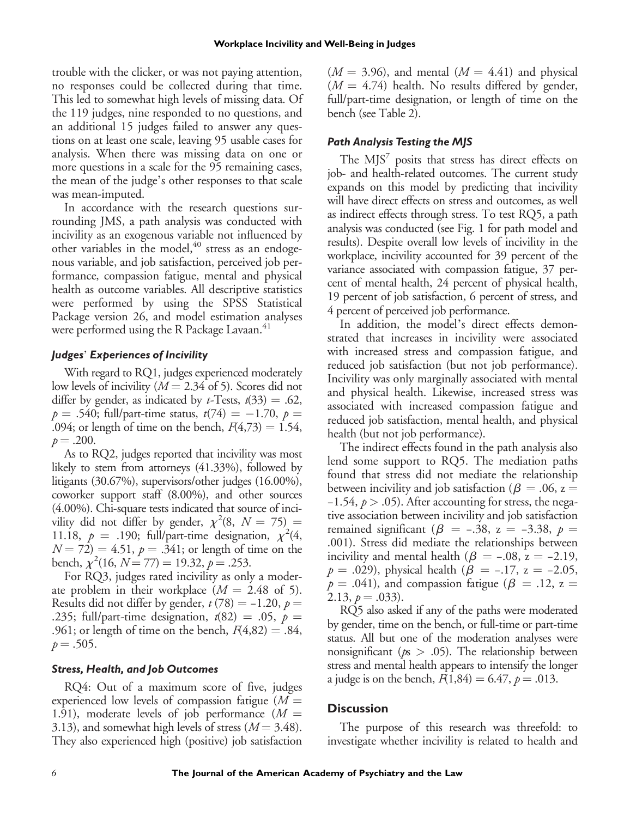trouble with the clicker, or was not paying attention, no responses could be collected during that time. This led to somewhat high levels of missing data. Of the 119 judges, nine responded to no questions, and an additional 15 judges failed to answer any questions on at least one scale, leaving 95 usable cases for analysis. When there was missing data on one or more questions in a scale for the 95 remaining cases, the mean of the judge's other responses to that scale was mean-imputed.

In accordance with the research questions surrounding JMS, a path analysis was conducted with incivility as an exogenous variable not influenced by other variables in the model, $40$  stress as an endogenous variable, and job satisfaction, perceived job performance, compassion fatigue, mental and physical health as outcome variables. All descriptive statistics were performed by using the SPSS Statistical Package version 26, and model estimation analyses were performed using the R Package Lavaan.<sup>41</sup>

## *Judges*' *Experiences of Incivility*

With regard to RQ1, judges experienced moderately low levels of incivility ( $M = 2.34$  of 5). Scores did not differ by gender, as indicated by *t*-Tests,  $t(33) = .62$ ,  $p = .540$ ; full/part-time status,  $t(74) = -1.70$ ,  $p =$ .094; or length of time on the bench,  $F(4,73) = 1.54$ ,  $p = .200$ .

As to RQ2, judges reported that incivility was most likely to stem from attorneys (41.33%), followed by litigants (30.67%), supervisors/other judges (16.00%), coworker support staff (8.00%), and other sources (4.00%). Chi-square tests indicated that source of incivility did not differ by gender,  $\chi^2(8, N = 75) =$ 11.18,  $p = .190$ ; full/part-time designation,  $\chi^2(4, 1)$  $N = 72$ ) = 4.51,  $p = .341$ ; or length of time on the bench,  $\chi^2(16, N = 77) = 19.32, p = .253.$ 

For RQ3, judges rated incivility as only a moderate problem in their workplace  $(M = 2.48 \text{ of } 5)$ . Results did not differ by gender,  $t$  (78) = -1.20,  $p$  = .235; full/part-time designation,  $t(82) = .05$ ,  $p =$ .961; or length of time on the bench,  $F(4,82) = .84$ ,  $p = .505$ .

## *Stress, Health, and Job Outcomes*

RQ4: Out of a maximum score of five, judges experienced low levels of compassion fatigue ( $M =$ 1.91), moderate levels of job performance  $(M =$ 3.13), and somewhat high levels of stress ( $M = 3.48$ ). They also experienced high (positive) job satisfaction  $(M = 3.96)$ , and mental  $(M = 4.41)$  and physical  $(M = 4.74)$  health. No results differed by gender, full/part-time designation, or length of time on the bench (see Table 2).

## *Path Analysis Testing the MJS*

The  $MJS<sup>7</sup>$  posits that stress has direct effects on job- and health-related outcomes. The current study expands on this model by predicting that incivility will have direct effects on stress and outcomes, as well as indirect effects through stress. To test RQ5, a path analysis was conducted (see Fig. 1 for path model and results). Despite overall low levels of incivility in the workplace, incivility accounted for 39 percent of the variance associated with compassion fatigue, 37 percent of mental health, 24 percent of physical health, 19 percent of job satisfaction, 6 percent of stress, and 4 percent of perceived job performance.

In addition, the model's direct effects demonstrated that increases in incivility were associated with increased stress and compassion fatigue, and reduced job satisfaction (but not job performance). Incivility was only marginally associated with mental and physical health. Likewise, increased stress was associated with increased compassion fatigue and reduced job satisfaction, mental health, and physical health (but not job performance).

The indirect effects found in the path analysis also The manect enects found in the path analysis also<br>lend some support to RQ5. The mediation paths found that stress did not mediate the relationship between incivility and job satisfaction ( $\beta = .06$ , z =  $-1.54$ ,  $p > .05$ ). After accounting for stress, the negative association between incivility and job satisfaction between incivility and job satisfaction ( $\beta = .06$ ,  $z = -1.54$ ,  $p > .05$ ). After accounting for stress, the negative association between incivility and job satisfaction remained significant ( $\beta = -.38$ ,  $z = -3.38$ ,  $p =$ .001). Stress did mediate the relationships between <sup>-1.94</sup>, *p* > .09). After accounting for stress, the negative association between incivility and job satisfaction remained significant (*β* = −.38, z = −3.38, *p* = .001). Stress did mediate the relationships between i remained significant ( $\beta$  = -.38,  $z$  = -3.38,  $p$  = .001). Stress did mediate the relationships between incivility and mental health ( $\beta$  = -.08, z = -2.19,  $p$  = .029), physical health ( $\beta$  = -.17, z = -2.05,  $p = .041$ ), and compassion fatigue ( $\beta = .12$ , z = 2.13,  $p = .033$ ).

RQ5 also asked if any of the paths were moderated by gender, time on the bench, or full-time or part-time status. All but one of the moderation analyses were nonsignificant ( $p_s > .05$ ). The relationship between stress and mental health appears to intensify the longer a judge is on the bench,  $F(1,84) = 6.47, p = .013$ .

# **Discussion**

The purpose of this research was threefold: to investigate whether incivility is related to health and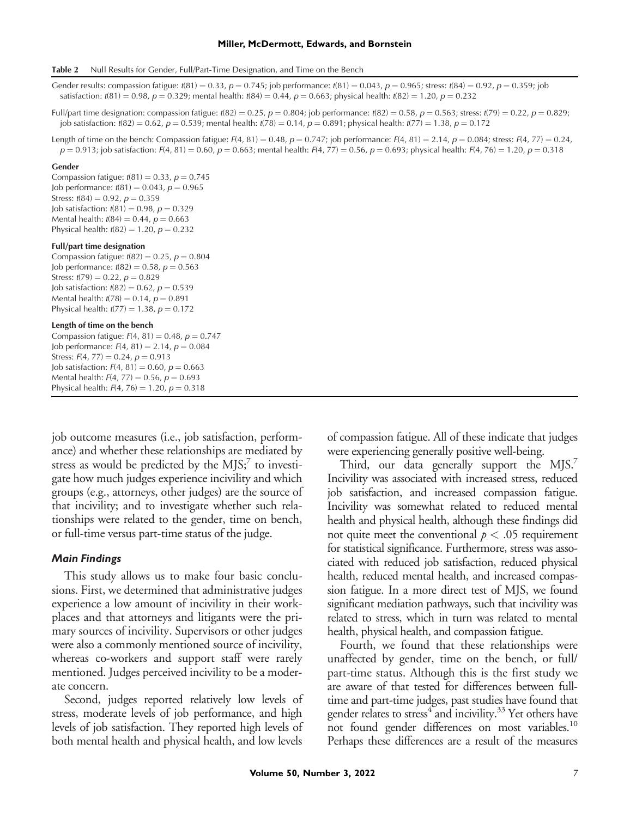#### **Miller, McDermott, Edwards, and Bornstein**

Table 2 Null Results for Gender, Full/Part-Time Designation, and Time on the Bench

Gender results: compassion fatigue:  $t(81) = 0.33$ ,  $p = 0.745$ ; job performance:  $t(81) = 0.043$ ,  $p = 0.965$ ; stress:  $t(84) = 0.92$ ,  $p = 0.359$ ; job satisfaction:  $t(81) = 0.98$ ,  $p = 0.329$ ; mental health:  $t(84) = 0.44$ ,  $p = 0.663$ ; physical health:  $t(82) = 1.20$ ,  $p = 0.232$ 

Full/part time designation: compassion fatigue: t(82) = 0.25, p = 0.804; job performance: t(82) = 0.58, p = 0.563; stress: t(79) = 0.22, p = 0.829; job satisfaction:  $t(82) = 0.62$ ,  $p = 0.539$ ; mental health:  $t(78) = 0.14$ ,  $p = 0.891$ ; physical health:  $t(77) = 1.38$ ,  $p = 0.172$ 

Length of time on the bench: Compassion fatigue: F(4, 81) = 0.48,  $p = 0.747$ ; job performance: F(4, 81) = 2.14,  $p = 0.084$ ; stress: F(4, 77) = 0.24,  $p = 0.913$ ; job satisfaction: F(4, 81) = 0.60,  $p = 0.663$ ; mental health: F(4, 77) = 0.56,  $p = 0.693$ ; physical health: F(4, 76) = 1.20,  $p = 0.318$ 

#### Gender

Compassion fatigue:  $t(81) = 0.33$ ,  $p = 0.745$ Job performance:  $t(81) = 0.043$ ,  $p = 0.965$ Stress:  $t(84) = 0.92$ ,  $p = 0.359$ Job satisfaction:  $t(81) = 0.98$ ,  $p = 0.329$ Mental health:  $t(84) = 0.44$ ,  $p = 0.663$ Physical health:  $t(82) = 1.20$ ,  $p = 0.232$ 

## Full/part time designation

Compassion fatigue:  $t(82) = 0.25$ ,  $p = 0.804$ Job performance:  $t(82) = 0.58$ ,  $p = 0.563$ Stress:  $t(79) = 0.22$ ,  $p = 0.829$ Job satisfaction:  $t(82) = 0.62$ ,  $p = 0.539$ Mental health:  $t(78) = 0.14$ ,  $p = 0.891$ Physical health:  $t(77) = 1.38, p = 0.172$ 

#### Length of time on the bench

Compassion fatigue:  $F(4, 81) = 0.48$ ,  $p = 0.747$ Job performance:  $F(4, 81) = 2.14$ ,  $p = 0.084$ Stress:  $F(4, 77) = 0.24$ ,  $p = 0.913$ Job satisfaction:  $F(4, 81) = 0.60$ ,  $p = 0.663$ Mental health:  $F(4, 77) = 0.56$ ,  $p = 0.693$ Physical health:  $F(4, 76) = 1.20$ ,  $p = 0.318$ 

job outcome measures (i.e., job satisfaction, performance) and whether these relationships are mediated by stress as would be predicted by the  $MJS<sub>i</sub><sup>7</sup>$  to investigate how much judges experience incivility and which groups (e.g., attorneys, other judges) are the source of that incivility; and to investigate whether such relationships were related to the gender, time on bench, or full-time versus part-time status of the judge.

## *Main Findings*

This study allows us to make four basic conclusions. First, we determined that administrative judges experience a low amount of incivility in their workplaces and that attorneys and litigants were the primary sources of incivility. Supervisors or other judges were also a commonly mentioned source of incivility, whereas co-workers and support staff were rarely mentioned. Judges perceived incivility to be a moderate concern.

Second, judges reported relatively low levels of stress, moderate levels of job performance, and high levels of job satisfaction. They reported high levels of both mental health and physical health, and low levels of compassion fatigue. All of these indicate that judges were experiencing generally positive well-being.

Third, our data generally support the MJS.<sup>7</sup> Incivility was associated with increased stress, reduced job satisfaction, and increased compassion fatigue. Incivility was somewhat related to reduced mental health and physical health, although these findings did not quite meet the conventional  $p < .05$  requirement for statistical significance. Furthermore, stress was associated with reduced job satisfaction, reduced physical health, reduced mental health, and increased compassion fatigue. In a more direct test of MJS, we found significant mediation pathways, such that incivility was related to stress, which in turn was related to mental health, physical health, and compassion fatigue.

Fourth, we found that these relationships were unaffected by gender, time on the bench, or full/ part-time status. Although this is the first study we are aware of that tested for differences between fulltime and part-time judges, past studies have found that gender relates to stress<sup>4</sup> and incivility.<sup>33</sup> Yet others have not found gender differences on most variables.<sup>10</sup> Perhaps these differences are a result of the measures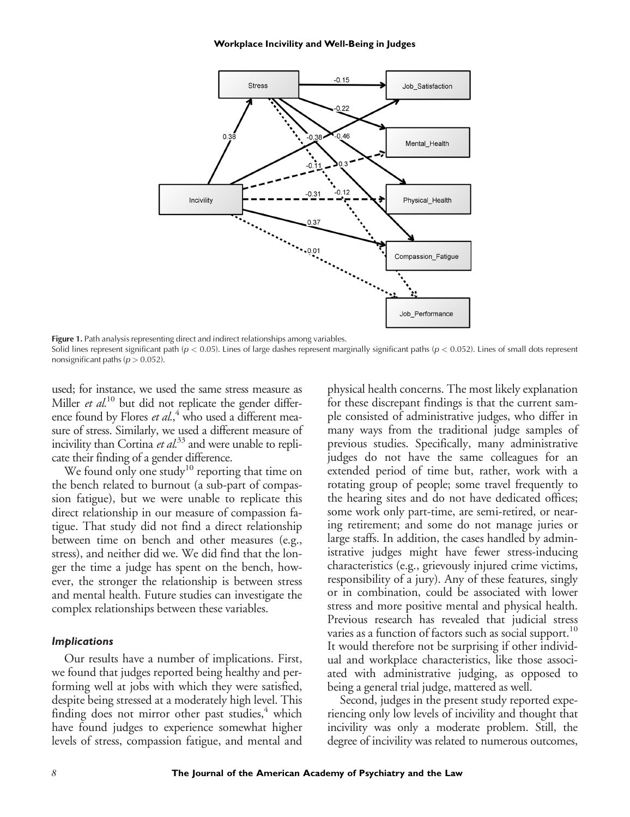#### **Workplace Incivility and Well-Being in Judges**



Figure 1. Path analysis representing direct and indirect relationships among variables.

Solid lines represent significant path ( $p < 0.05$ ). Lines of large dashes represent marginally significant paths ( $p < 0.052$ ). Lines of small dots represent nonsignificant paths ( $p > 0.052$ ).

used; for instance, we used the same stress measure as Miller  $et$   $al$ <sup>10</sup> but did not replicate the gender difference found by Flores et al.,<sup>4</sup> who used a different measure of stress. Similarly, we used a different measure of incivility than Cortina  $et$   $al$ <sup>33</sup> and were unable to replicate their finding of a gender difference.

We found only one study<sup>10</sup> reporting that time on the bench related to burnout (a sub-part of compassion fatigue), but we were unable to replicate this direct relationship in our measure of compassion fatigue. That study did not find a direct relationship between time on bench and other measures (e.g., stress), and neither did we. We did find that the longer the time a judge has spent on the bench, however, the stronger the relationship is between stress and mental health. Future studies can investigate the complex relationships between these variables.

#### *Implications*

Our results have a number of implications. First, we found that judges reported being healthy and performing well at jobs with which they were satisfied, despite being stressed at a moderately high level. This finding does not mirror other past studies, $4$  which have found judges to experience somewhat higher levels of stress, compassion fatigue, and mental and physical health concerns. The most likely explanation for these discrepant findings is that the current sample consisted of administrative judges, who differ in many ways from the traditional judge samples of previous studies. Specifically, many administrative judges do not have the same colleagues for an extended period of time but, rather, work with a rotating group of people; some travel frequently to the hearing sites and do not have dedicated offices; some work only part-time, are semi-retired, or nearing retirement; and some do not manage juries or large staffs. In addition, the cases handled by administrative judges might have fewer stress-inducing characteristics (e.g., grievously injured crime victims, responsibility of a jury). Any of these features, singly or in combination, could be associated with lower stress and more positive mental and physical health. Previous research has revealed that judicial stress varies as a function of factors such as social support.<sup>10</sup> It would therefore not be surprising if other individual and workplace characteristics, like those associated with administrative judging, as opposed to being a general trial judge, mattered as well.

Second, judges in the present study reported experiencing only low levels of incivility and thought that incivility was only a moderate problem. Still, the degree of incivility was related to numerous outcomes,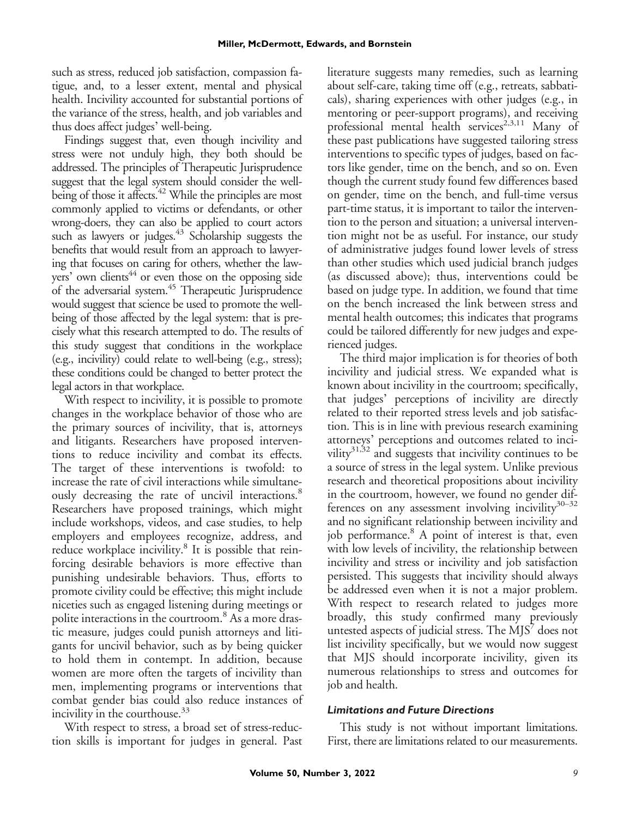such as stress, reduced job satisfaction, compassion fatigue, and, to a lesser extent, mental and physical health. Incivility accounted for substantial portions of the variance of the stress, health, and job variables and thus does affect judges' well-being.

Findings suggest that, even though incivility and stress were not unduly high, they both should be addressed. The principles of Therapeutic Jurisprudence suggest that the legal system should consider the wellbeing of those it affects.<sup>42</sup> While the principles are most commonly applied to victims or defendants, or other wrong-doers, they can also be applied to court actors such as lawyers or judges.<sup>43</sup> Scholarship suggests the benefits that would result from an approach to lawyering that focuses on caring for others, whether the lawyers' own clients<sup>44</sup> or even those on the opposing side of the adversarial system.<sup>45</sup> Therapeutic Jurisprudence would suggest that science be used to promote the wellbeing of those affected by the legal system: that is precisely what this research attempted to do. The results of this study suggest that conditions in the workplace (e.g., incivility) could relate to well-being (e.g., stress); these conditions could be changed to better protect the legal actors in that workplace.

With respect to incivility, it is possible to promote changes in the workplace behavior of those who are the primary sources of incivility, that is, attorneys and litigants. Researchers have proposed interventions to reduce incivility and combat its effects. The target of these interventions is twofold: to increase the rate of civil interactions while simultaneously decreasing the rate of uncivil interactions.<sup>8</sup> Researchers have proposed trainings, which might include workshops, videos, and case studies, to help employers and employees recognize, address, and reduce workplace incivility.<sup>8</sup> It is possible that reinforcing desirable behaviors is more effective than punishing undesirable behaviors. Thus, efforts to promote civility could be effective; this might include niceties such as engaged listening during meetings or polite interactions in the courtroom.<sup>8</sup> As a more drastic measure, judges could punish attorneys and litigants for uncivil behavior, such as by being quicker to hold them in contempt. In addition, because women are more often the targets of incivility than men, implementing programs or interventions that combat gender bias could also reduce instances of incivility in the courthouse.<sup>33</sup>

With respect to stress, a broad set of stress-reduction skills is important for judges in general. Past literature suggests many remedies, such as learning about self-care, taking time off (e.g., retreats, sabbaticals), sharing experiences with other judges (e.g., in mentoring or peer-support programs), and receiving professional mental health services<sup>2,3,11</sup> Many of these past publications have suggested tailoring stress interventions to specific types of judges, based on factors like gender, time on the bench, and so on. Even though the current study found few differences based on gender, time on the bench, and full-time versus part-time status, it is important to tailor the intervention to the person and situation; a universal intervention might not be as useful. For instance, our study of administrative judges found lower levels of stress than other studies which used judicial branch judges (as discussed above); thus, interventions could be based on judge type. In addition, we found that time on the bench increased the link between stress and mental health outcomes; this indicates that programs could be tailored differently for new judges and experienced judges.

The third major implication is for theories of both incivility and judicial stress. We expanded what is known about incivility in the courtroom; specifically, that judges' perceptions of incivility are directly related to their reported stress levels and job satisfaction. This is in line with previous research examining attorneys' perceptions and outcomes related to incivility<sup>31,32</sup> and suggests that incivility continues to be a source of stress in the legal system. Unlike previous research and theoretical propositions about incivility in the courtroom, however, we found no gender differences on any assessment involving incivility $30-32$ and no significant relationship between incivility and job performance.<sup>8</sup> A point of interest is that, even with low levels of incivility, the relationship between incivility and stress or incivility and job satisfaction persisted. This suggests that incivility should always be addressed even when it is not a major problem. With respect to research related to judges more broadly, this study confirmed many previously untested aspects of judicial stress. The  $MJS'$  does not list incivility specifically, but we would now suggest that MJS should incorporate incivility, given its numerous relationships to stress and outcomes for job and health.

## *Limitations and Future Directions*

This study is not without important limitations. First, there are limitations related to our measurements.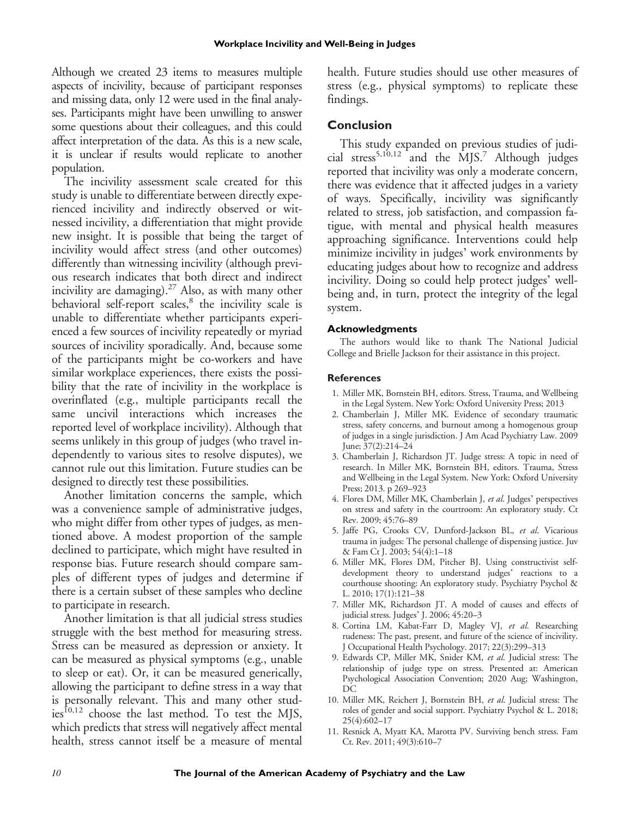Although we created 23 items to measures multiple aspects of incivility, because of participant responses and missing data, only 12 were used in the final analyses. Participants might have been unwilling to answer some questions about their colleagues, and this could affect interpretation of the data. As this is a new scale, it is unclear if results would replicate to another population.

The incivility assessment scale created for this study is unable to differentiate between directly experienced incivility and indirectly observed or witnessed incivility, a differentiation that might provide new insight. It is possible that being the target of incivility would affect stress (and other outcomes) differently than witnessing incivility (although previous research indicates that both direct and indirect incivility are damaging). $^{27}$  Also, as with many other behavioral self-report scales,<sup>8</sup> the incivility scale is unable to differentiate whether participants experienced a few sources of incivility repeatedly or myriad sources of incivility sporadically. And, because some of the participants might be co-workers and have similar workplace experiences, there exists the possibility that the rate of incivility in the workplace is overinflated (e.g., multiple participants recall the same uncivil interactions which increases the reported level of workplace incivility). Although that seems unlikely in this group of judges (who travel independently to various sites to resolve disputes), we cannot rule out this limitation. Future studies can be designed to directly test these possibilities.

Another limitation concerns the sample, which was a convenience sample of administrative judges, who might differ from other types of judges, as mentioned above. A modest proportion of the sample declined to participate, which might have resulted in response bias. Future research should compare samples of different types of judges and determine if there is a certain subset of these samples who decline to participate in research.

Another limitation is that all judicial stress studies struggle with the best method for measuring stress. Stress can be measured as depression or anxiety. It can be measured as physical symptoms (e.g., unable to sleep or eat). Or, it can be measured generically, allowing the participant to define stress in a way that is personally relevant. This and many other stud $ies<sup>10,12</sup>$  choose the last method. To test the MJS, which predicts that stress will negatively affect mental health, stress cannot itself be a measure of mental health. Future studies should use other measures of stress (e.g., physical symptoms) to replicate these findings.

# **Conclusion**

This study expanded on previous studies of judicial stress<sup>5,10,12</sup> and the  $\rm \dot{M}$ JS.<sup>7</sup> Although judges reported that incivility was only a moderate concern, there was evidence that it affected judges in a variety of ways. Specifically, incivility was significantly related to stress, job satisfaction, and compassion fatigue, with mental and physical health measures approaching significance. Interventions could help minimize incivility in judges' work environments by educating judges about how to recognize and address incivility. Doing so could help protect judges' wellbeing and, in turn, protect the integrity of the legal system.

## **Acknowledgments**

The authors would like to thank The National Judicial College and Brielle Jackson for their assistance in this project.

## **References**

- 1. Miller MK, Bornstein BH, editors. Stress, Trauma, and Wellbeing in the Legal System. New York: Oxford University Press; 2013
- 2. Chamberlain J, Miller MK. Evidence of secondary traumatic stress, safety concerns, and burnout among a homogenous group of judges in a single jurisdiction. J Am Acad Psychiatry Law. 2009 June; 37(2):214–24
- 3. Chamberlain J, Richardson JT. Judge stress: A topic in need of research. In Miller MK, Bornstein BH, editors. Trauma, Stress and Wellbeing in the Legal System. New York: Oxford University Press; 2013. p 269-923
- 4. Flores DM, Miller MK, Chamberlain J, et al. Judges' perspectives on stress and safety in the courtroom: An exploratory study. Ct Rev. 2009; 45:76–89
- 5. Jaffe PG, Crooks CV, Dunford-Jackson BL, et al. Vicarious trauma in judges: The personal challenge of dispensing justice. Juv & Fam Ct J. 2003; 54(4):1–18
- 6. Miller MK, Flores DM, Pitcher BJ. Using constructivist selfdevelopment theory to understand judges' reactions to a courthouse shooting: An exploratory study. Psychiatry Psychol & L. 2010; 17(1):121–38
- 7. Miller MK, Richardson JT. A model of causes and effects of judicial stress. Judges' J. 2006; 45:20–3
- 8. Cortina LM, Kabat-Farr D, Magley VJ, et al. Researching rudeness: The past, present, and future of the science of incivility. J Occupational Health Psychology. 2017; 22(3):299–313
- 9. Edwards CP, Miller MK, Snider KM, et al. Judicial stress: The relationship of judge type on stress. Presented at: American Psychological Association Convention; 2020 Aug; Washington, DC
- 10. Miller MK, Reichert J, Bornstein BH, et al. Judicial stress: The roles of gender and social support. Psychiatry Psychol & L. 2018; 25(4):602–17
- 11. Resnick A, Myatt KA, Marotta PV. Surviving bench stress. Fam Ct. Rev. 2011; 49(3):610–7